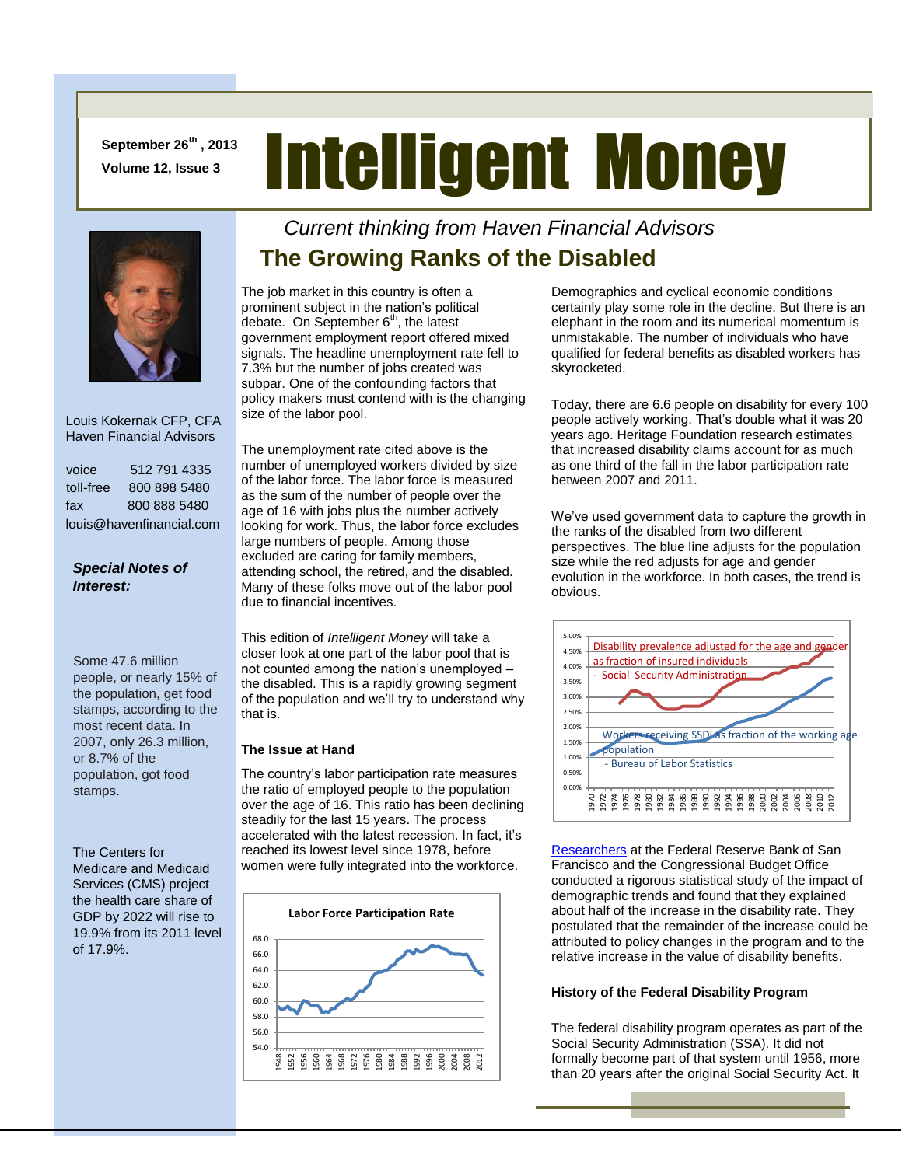**September 26th , 2013 Volume 12, Issue 3**

# Intelligent Money



 Louis Kokernak CFP, CFA Haven Financial Advisors

| voice                    | 512 791 4335 |
|--------------------------|--------------|
| toll-free                | 800 898 5480 |
| fax                      | 800 888 5480 |
| louis@havenfinancial.com |              |

### *Special Notes of Interest:*

Some 47.6 million people, or nearly 15% of the population, get food stamps, according to the most recent data. In 2007, only 26.3 million, or 8.7% of the population, got food stamps.

The Centers for Medicare and Medicaid Services (CMS) project the health care share of GDP by 2022 will rise to 19.9% from its 2011 level of 17.9%.

### *Current thinking from Haven Financial Advisors*  **The Growing Ranks of the Disabled**

The job market in this country is often a prominent subject in the nation's political debate. On September  $6<sup>th</sup>$ , the latest government employment report offered mixed signals. The headline unemployment rate fell to 7.3% but the number of jobs created was subpar. One of the confounding factors that policy makers must contend with is the changing size of the labor pool.

The unemployment rate cited above is the number of unemployed workers divided by size of the labor force. The labor force is measured as the sum of the number of people over the age of 16 with jobs plus the number actively looking for work. Thus, the labor force excludes large numbers of people. Among those excluded are caring for family members, attending school, the retired, and the disabled. Many of these folks move out of the labor pool due to financial incentives.

This edition of *Intelligent Money* will take a closer look at one part of the labor pool that is not counted among the nation's unemployed – the disabled. This is a rapidly growing segment of the population and we'll try to understand why that is.

### **The Issue at Hand**

The country's labor participation rate measures the ratio of employed people to the population over the age of 16. This ratio has been declining steadily for the last 15 years. The process accelerated with the latest recession. In fact, it's reached its lowest level since 1978, before women were fully integrated into the workforce.



Demographics and cyclical economic conditions certainly play some role in the decline. But there is an elephant in the room and its numerical momentum is unmistakable. The number of individuals who have qualified for federal benefits as disabled workers has skyrocketed.

Today, there are 6.6 people on disability for every 100 people actively working. That's double what it was 20 years ago. Heritage Foundation research estimates that increased disability claims account for as much as one third of the fall in the labor participation rate between 2007 and 2011.

We've used government data to capture the growth in the ranks of the disabled from two different perspectives. The blue line adjusts for the population size while the red adjusts for age and gender evolution in the workforce. In both cases, the trend is obvious.



[Researchers](http://www.frbsf.org/economic-research/publications/economic-letter/2013/june/future-social-security-disability-insurance-ssdi/#content) at the Federal Reserve Bank of San Francisco and the Congressional Budget Office conducted a rigorous statistical study of the impact of demographic trends and found that they explained about half of the increase in the disability rate. They postulated that the remainder of the increase could be attributed to policy changes in the program and to the relative increase in the value of disability benefits.

### **History of the Federal Disability Program**

The federal disability program operates as part of the Social Security Administration (SSA). It did not formally become part of that system until 1956, more than 20 years after the original Social Security Act. It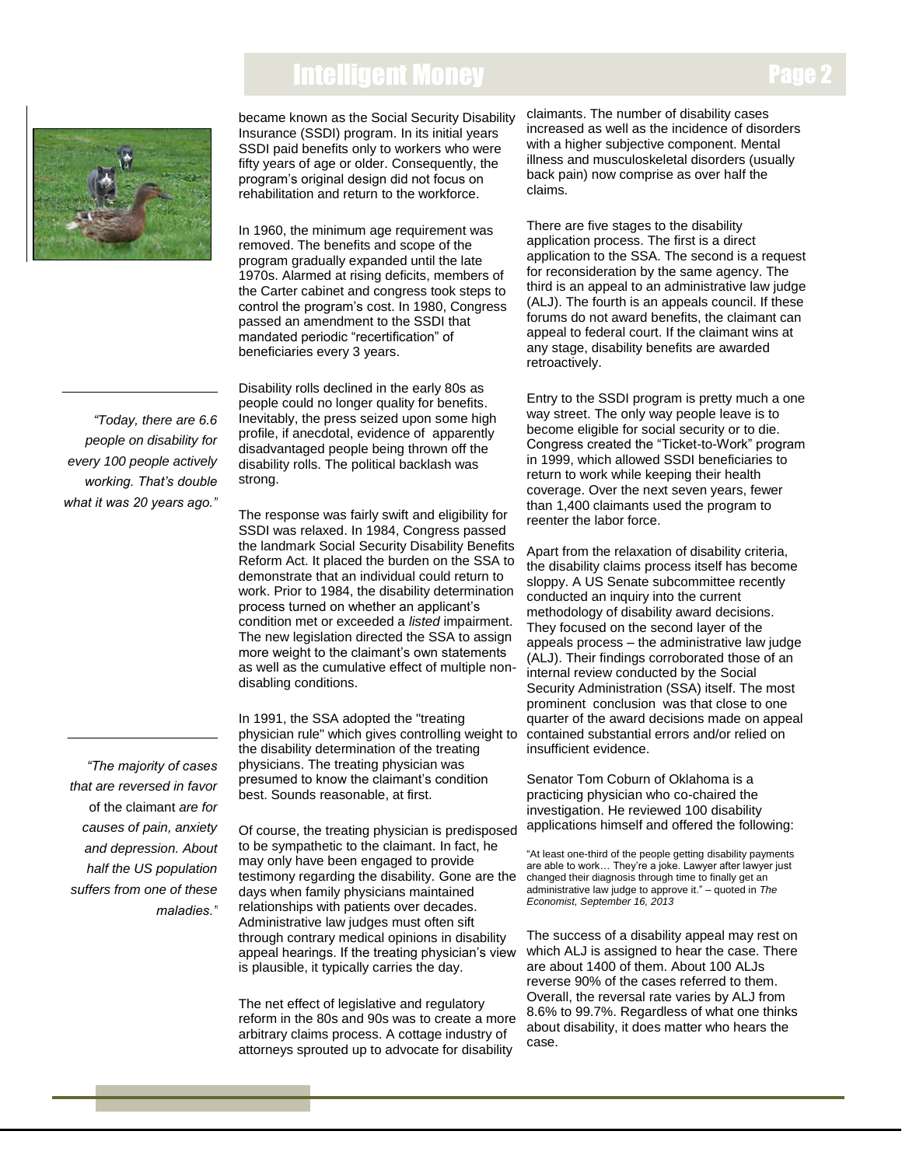## Intelligent Money



became known as the Social Security Disability Insurance (SSDI) program. In its initial years SSDI paid benefits only to workers who were fifty years of age or older. Consequently, the program's original design did not focus on rehabilitation and return to the workforce.

In 1960, the minimum age requirement was removed. The benefits and scope of the program gradually expanded until the late 1970s. Alarmed at rising deficits, members of the Carter cabinet and congress took steps to control the program's cost. In 1980, Congress passed an amendment to the SSDI that mandated periodic "recertification" of beneficiaries every 3 years.

Disability rolls declined in the early 80s as people could no longer quality for benefits. Inevitably, the press seized upon some high profile, if anecdotal, evidence of apparently disadvantaged people being thrown off the disability rolls. The political backlash was strong.

The response was fairly swift and eligibility for SSDI was relaxed. In 1984, Congress passed the landmark Social Security Disability Benefits Reform Act. It placed the burden on the SSA to demonstrate that an individual could return to work. Prior to 1984, the disability determination process turned on whether an applicant's condition met or exceeded a *listed* impairment. The new legislation directed the SSA to assign more weight to the claimant's own statements as well as the cumulative effect of multiple nondisabling conditions.

In 1991, the SSA adopted the "treating physician rule" which gives controlling weight to the disability determination of the treating physicians. The treating physician was presumed to know the claimant's condition best. Sounds reasonable, at first.

Of course, the treating physician is predisposed to be sympathetic to the claimant. In fact, he may only have been engaged to provide testimony regarding the disability. Gone are the days when family physicians maintained relationships with patients over decades. Administrative law judges must often sift through contrary medical opinions in disability appeal hearings. If the treating physician's view is plausible, it typically carries the day.

The net effect of legislative and regulatory reform in the 80s and 90s was to create a more arbitrary claims process. A cottage industry of attorneys sprouted up to advocate for disability

claimants. The number of disability cases increased as well as the incidence of disorders with a higher subjective component. Mental illness and musculoskeletal disorders (usually back pain) now comprise as over half the claims.

There are five stages to the disability application process. The first is a direct application to the SSA. The second is a request for reconsideration by the same agency. The third is an appeal to an administrative law judge (ALJ). The fourth is an appeals council. If these forums do not award benefits, the claimant can appeal to federal court. If the claimant wins at any stage, disability benefits are awarded retroactively.

Entry to the SSDI program is pretty much a one way street. The only way people leave is to become eligible for social security or to die. Congress created the "Ticket-to-Work" program in 1999, which allowed SSDI beneficiaries to return to work while keeping their health coverage. Over the next seven years, fewer than 1,400 claimants used the program to reenter the labor force.

Apart from the relaxation of disability criteria, the disability claims process itself has become sloppy. A US Senate subcommittee recently conducted an inquiry into the current methodology of disability award decisions. They focused on the second layer of the appeals process – the administrative law judge (ALJ). Their findings corroborated those of an internal review conducted by the Social Security Administration (SSA) itself. The most prominent conclusion was that close to one quarter of the award decisions made on appeal contained substantial errors and/or relied on insufficient evidence.

Senator Tom Coburn of Oklahoma is a practicing physician who co-chaired the investigation. He reviewed 100 disability applications himself and offered the following:

"At least one-third of the people getting disability payments are able to work… They're a joke. Lawyer after lawyer just changed their diagnosis through time to finally get an administrative law judge to approve it." – quoted in *The Economist, September 16, 2013*

The success of a disability appeal may rest on which ALJ is assigned to hear the case. There are about 1400 of them. About 100 ALJs reverse 90% of the cases referred to them. Overall, the reversal rate varies by ALJ from 8.6% to 99.7%. Regardless of what one thinks about disability, it does matter who hears the case.

 *people on disability for "Today, there are 6.6 every 100 people actively working. That's double what it was 20 years ago."*

*"The majority of cases that are reversed in favor*  of the claimant *are for causes of pain, anxiety and depression. About half the US population suffers from one of these maladies."*